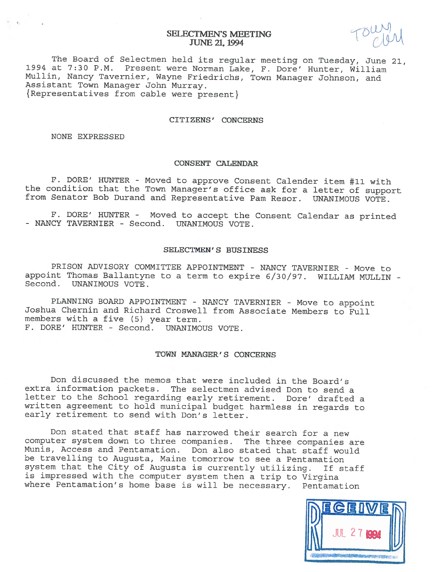# SELECTMEN'S MEETING JUNE 21, 1994

The Board of Selectmen held its regular meeting on Tuesday, June 21, <sup>1994</sup> at 7:30 P.M. Present were Norman Lake, F. Dore' Hunter, William Mullin, Nancy Tavernier, Wayne Friedrichs, Town Manager Johnson, and Assistant Town Manager John Murray. (Representatives from cable were present}

#### CITIZENS' CONCERNS

NONE EXPRESSED

### CONSEN'T CALENDAR

F. DORE' HUNTER - Moved to approve Consent Calender item #11 with<br>the condition that the Town Manager's office ask for a letter of support from Senator Bob Durand and Representative Pam Resor. UNANIMOUS VOTE.

F. DORE' HUNTER - Moved to accept the Consent Calendar as printed - NANCY TAVERNIER - Second. UNANIMOUS VOTE.

### SELECTMEN'S BUSINESS

PRISON ADVISORY COMMITTEE APPOINTMENT - NANCY TAVERNIER - Move to appoint Thomas Ballantyne to <sup>a</sup> term to expire 6/30/97. WILLIAM MULLIN - Second. UNANIMOUS VOTE.

PLANNING BOARD APPOINTMENT - NANCY TAVERNIER - Move to appoint Joshua Chernin and Richard Croswell from Associate Members to Full members with <sup>a</sup> five (5) year term. F. DORE' HUNTER - Second. UNANIMOUS VOTE.

#### TOWN MANAGER'S CONCERNS

Don discussed the memos that were included in the Board's extra information packets. The selectmen advised Don to send <sup>a</sup> letter to the School regarding early retirement. Dore' drafted <sup>a</sup> written agreement to hold municipal budget harmless in regards to early retirement to send with Don's letter.

Don stated that staff has narrowed their search for <sup>a</sup> new computer system down to three companies. The three companies are Munis, Access and Pentamation. Don also stated that staff would be travelling to Augusta, Maine tomorrow to see <sup>a</sup> Pentamation system that the City of Augusta is currently utilizing. If staff is impressed with the computer system then <sup>a</sup> trip to Virgina where Pentamation's home base is will be necessary. Pentamation

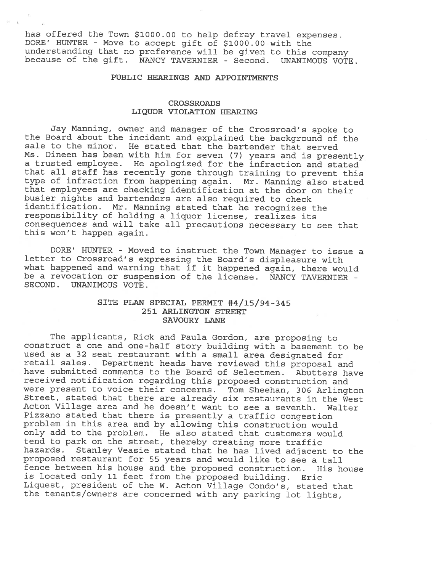has offered the Town \$1000.00 to help defray travel expenses. DORE' HUNTER - Move to accept <sup>g</sup>ift of \$1000.00 with the understanding that no preference will be <sup>g</sup>iven to this company because of the gift. NANCY TAVERNIER - Second. UNANIMOUS VOTE.

## PUBLIC HEARINGS AND APPOINTMENTS

# **CROSSROADS** LIQUOR VIOLATION HEARING

Jay Manning, owner and manager of the Crossroad's spoke to the Board about the incident and explained the background of the sale to the minor. He stated that the bartender that served Ms. Dineen has been with him for seven (7) years and is presently <sup>a</sup> trusted employee. He apologized for the infraction and stated that all staff has recently gone through training to prevent this type of infraction from happening again. Mr. Manning also stated that employees are checking identification at the door on their busier nights and bartenders are also required to check identification. Mr. Manning stated that he recognizes the responsibility of holding <sup>a</sup> liquor license, realizes its consequences and will take all precautions necessary to see that this won't happen again.

DORE' HUNTER - Moved to instruct the Town Manager to issue a letter to Crossroad's expressing the Board's displeasure with what happened and warning that if it happened again, there would be <sup>a</sup> revocation or suspension of the license. NANCY TAVERNIER - SECOND. UNANIMOUS VOTE.

# SITE PLAN SPECIAL PERMIT #4/15/94-345 251 ARLINGTON STREET SAVOURY LANE

The applicants, Rick and Paula Gordon, are proposing to construct <sup>a</sup> one and one-half story building with <sup>a</sup> basement to be used as <sup>a</sup> 32 seat restaurant with <sup>a</sup> small area designated for retail sales. Department heads have reviewed this proposal and have submitted comments to the Board of Selectmen. Abutters have received notification regarding this proposed construction and were present to voice their concerns. Tom Sheehan, <sup>306</sup> Arlington Street, stated that there are already six restaurants in the Nest Acton Village area and he doesn't want to see <sup>a</sup> seventh. Walter Pizzano stated that there is presently <sup>a</sup> traffic congestion problem in this area and by allowing this construction would only add to the problem. He also stated that customers would tend to park on the street, thereby creating more traffic hazards. Stanley Veasie stated that he has lived adjacent to the proposed restaurant for 55 years and would like to see <sup>a</sup> tall fence between his house and the proposed construction. His house is located only <sup>11</sup> feet from the proposed building. Eric Liquest, president of the W. Acton Village Condo's, stated that the tenants/owners are concerned with any parking lot lights,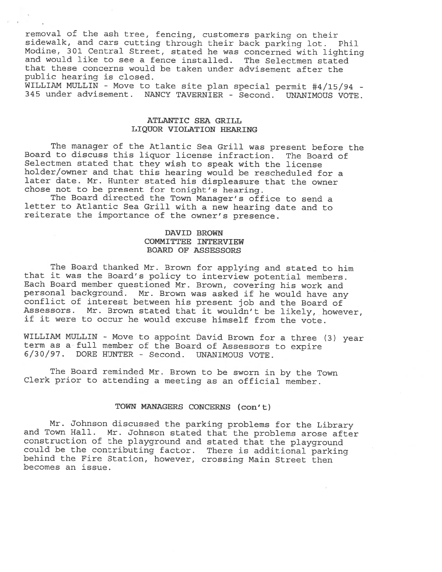removal of the ash tree, fencing, customers parking on their sidewalk, and cars cutting through their back parking lot. Phil and would like to see a fence installed. The Selectmen stated that these concerns would be taken under advisement after the public hearing is closed. WILLIAM MULLIN - Move to take site plan special permit  $\#4/15/94$  -

345 under advisement. NANCY TAVERNIER - Second. UNANIMOUS VOTE.

### ATLANTIC SEA GRILL LIQUOR VIOLATION HEARING

The manager of the Atlantic Sea Grill was present before the Board to discuss this liquor license infraction. The Board of Selectmen stated that they wish to speak with the license holder/owner and that this hearing would be rescheduled for <sup>a</sup> later date. Mr. Hunter stated his displeasure that the owner chose not to be present for tonight's hearing.

The Board directed the Town Manager's office to send <sup>a</sup> letter to Atlantic Sea Grill with <sup>a</sup> new hearing date and to reiterate the importance of the owner's presence.

# DAVID BROWN COMMITTEE INTERVIEW BOARD OF ASSESSORS

The Board thanked Mr. Brown for applying and stated to him that it was the Board's policy to interview potential members. Each Board member questioned Mr. Brown, covering his work and personal background. Mr. Brown was asked if he would have any conflict of interest between his present job and the Board of Assessors. Mr. Brown stated that it wouldn't be likely, however, if it were to occur he would excuse himself from the vote.

WILLIAM MULLIN - Move to appoint David Brown for <sup>a</sup> three (3) year term as <sup>a</sup>' full member of the Board of Assessors to expire 6/30/97. DORE HUNTER - Second. UNANIMOUS VOTE.

The Board reminded Mr. Brown to be sworn in by the Town Clerk prior to attending <sup>a</sup> meeting as an official member.

# TOWN MANAGERS CONCERNS (con't)

Mr. Johnson discussed the parking problems for the Library and Town Hall. Mr. Johnson stated that the problems arose after construction of the <sup>p</sup>layground and stated that the <sup>p</sup>layground could be the contributing factor. There is additional parking behind the Fire Station, however, crossing Main Street then becomes an issue.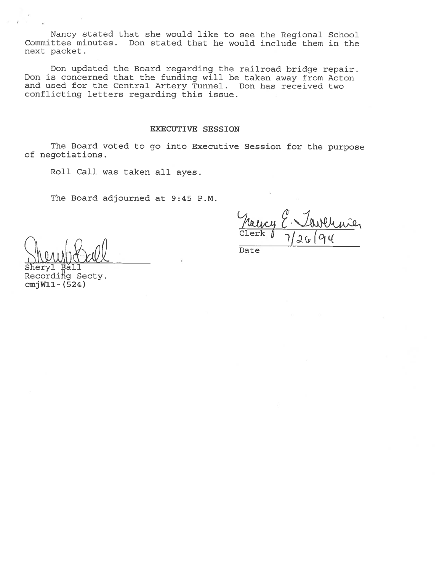Nancy stated that she would like to see the Regional School Committee minutes. Don stated that he would include them in the next packet.

Don updated the Board regarding the railroad bridge repair. Don is concerned that the funding will be taken away from Acton and used for the Central Artery Tunnel. Don has received two conflicting letters regarding this issue.

### EXECUTIVE SESSION

The Board voted to go into Executive Session for the purpose of negotiations.

Roll Call was taken all ayes.

The Board adjourned at 9:45 P.M.

Clerk  $\int \gamma / 2$ Date

Sheryl Ball RecordiMg Secty. cmjWll- (524)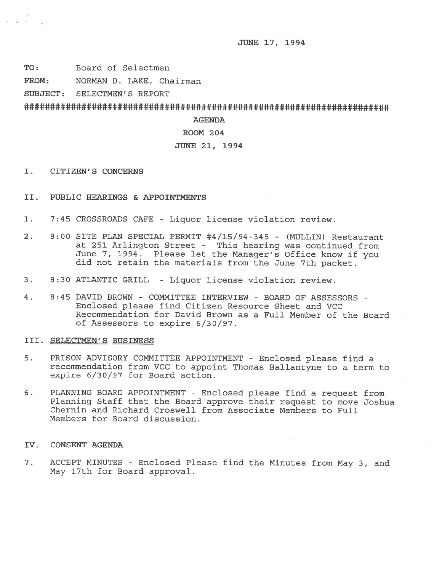JUNE 17, 1994

TO: Board of Selectmen

FROM: NORMAN D. LAKE, Chairman

SUBJECT: SELECTMEN'S REPORT

####################################################\*#################

#### AGENDA

### ROOM 204

## JUNE 21, 1994

- I. CITIZEN'S CONCERNS
- II. PUBLIC HEARINGS & APPOINTMENTS
- 1. 7:45 CROSSROADS CAFE Liquor license violation review.
- 2. 8:00 SITE PLAN SPECIAL PERMIT #4/15/94-345 (MULLIN) Restaurant at 251 Arlington Street - This hearing was continued from June 7, 1994. Please let the Manager's Office know if you did not retain the materials from the June 7th packet.
- 3. 8:30 ATLANTIC GRILL Liquor license violation review.
- 4. 8:45 DAVID BROWN COMMITTEE INTERVIEW BOARD OF ASSESSORS Enclosed please find Citizen Resource Sheet and VCC Recommendation for David Brown as <sup>a</sup> Full Member of the Board of Assessors to expire 6/30/97.

### III. SELECTMEN'S BUSINESS

- 5. PRISON ADVISORY COMMITTEE APPOINTMENT Enclosed <sup>p</sup>lease find <sup>a</sup> recommendation from VCC to appoint Thomas Ballantyne to <sup>a</sup> term to expire 6/30/97 for Board action.
- 6. PLANNING BOARD APPOINTMENT Enclosed <sup>p</sup>lease find <sup>a</sup> reques<sup>t</sup> from Planning Staff that the Board approve their reques<sup>t</sup> to move Joshua Chernin and Richard Croswell from Associate Members to Full Members for Board discussion.
- IV. CONSENT AGENDA
- 7. ACCEPT MINUTES Enclosed Please find the Minutes from May 3, and May 17th for Board approval.